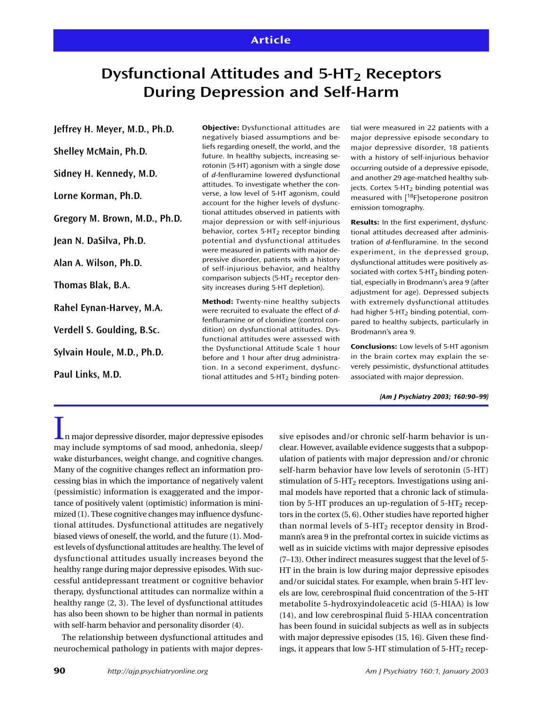# **Dysfunctional Attitudes and 5-HT<sub>2</sub> Receptors During Depression and Self-Harm**

**Jeffrey H. Meyer, M.D., Ph.D.**

**Shelley McMain, Ph.D.**

**Sidney H. Kennedy, M.D.**

**Lorne Korman, Ph.D.**

**Gregory M. Brown, M.D., Ph.D.**

**Jean N. DaSilva, Ph.D.**

**Alan A. Wilson, Ph.D.**

**Thomas Blak, B.A.**

**Rahel Eynan-Harvey, M.A.**

**Verdell S. Goulding, B.Sc.**

**Sylvain Houle, M.D., Ph.D.**

**Paul Links, M.D.**

**Objective:** Dysfunctional attitudes are negatively biased assumptions and beliefs regarding oneself, the world, and the future. In healthy subjects, increasing serotonin (5-HT) agonism with a single dose of *d*-fenfluramine lowered dysfunctional attitudes. To investigate whether the converse, a low level of 5-HT agonism, could account for the higher levels of dysfunctional attitudes observed in patients with major depression or with self-injurious behavior, cortex  $5-HT<sub>2</sub>$  receptor binding potential and dysfunctional attitudes were measured in patients with major depressive disorder, patients with a history of self-injurious behavior, and healthy comparison subjects (5-HT $_2$  receptor density increases during 5-HT depletion).

**Method:** Twenty-nine healthy subjects were recruited to evaluate the effect of *d*fenfluramine or of clonidine (control condition) on dysfunctional attitudes. Dysfunctional attitudes were assessed with the Dysfunctional Attitude Scale 1 hour before and 1 hour after drug administration. In a second experiment, dysfunctional attitudes and  $5-HT<sub>2</sub>$  binding potential were measured in 22 patients with a major depressive episode secondary to major depressive disorder, 18 patients with a history of self-injurious behavior occurring outside of a depressive episode, and another 29 age-matched healthy subjects. Cortex 5-HT<sub>2</sub> binding potential was measured with [18F]setoperone positron emission tomography.

**Results:** In the first experiment, dysfunctional attitudes decreased after administration of *d*-fenfluramine. In the second experiment, in the depressed group, dysfunctional attitudes were positively associated with cortex  $5-HT<sub>2</sub>$  binding potential, especially in Brodmann's area 9 (after adjustment for age). Depressed subjects with extremely dysfunctional attitudes had higher  $5-HT<sub>2</sub>$  binding potential, compared to healthy subjects, particularly in Brodmann's area 9.

**Conclusions:** Low levels of 5-HT agonism in the brain cortex may explain the severely pessimistic, dysfunctional attitudes associated with major depression.

*(Am J Psychiatry 2003; 160:90–99)*

 $\perp$ n major depressive disorder, major depressive episodes may include symptoms of sad mood, anhedonia, sleep/ wake disturbances, weight change, and cognitive changes. Many of the cognitive changes reflect an information processing bias in which the importance of negatively valent (pessimistic) information is exaggerated and the importance of positively valent (optimistic) information is minimized (1). These cognitive changes may influence dysfunctional attitudes. Dysfunctional attitudes are negatively biased views of oneself, the world, and the future (1). Modest levels of dysfunctional attitudes are healthy. The level of dysfunctional attitudes usually increases beyond the healthy range during major depressive episodes. With successful antidepressant treatment or cognitive behavior therapy, dysfunctional attitudes can normalize within a healthy range (2, 3). The level of dysfunctional attitudes has also been shown to be higher than normal in patients with self-harm behavior and personality disorder (4).

The relationship between dysfunctional attitudes and neurochemical pathology in patients with major depressive episodes and/or chronic self-harm behavior is unclear. However, available evidence suggests that a subpopulation of patients with major depression and/or chronic self-harm behavior have low levels of serotonin (5-HT) stimulation of  $5-HT_2$  receptors. Investigations using animal models have reported that a chronic lack of stimulation by 5-HT produces an up-regulation of  $5-HT_2$  receptors in the cortex (5, 6). Other studies have reported higher than normal levels of  $5-HT_2$  receptor density in Brodmann's area 9 in the prefrontal cortex in suicide victims as well as in suicide victims with major depressive episodes (7–13). Other indirect measures suggest that the level of 5- HT in the brain is low during major depressive episodes and/or suicidal states. For example, when brain 5-HT levels are low, cerebrospinal fluid concentration of the 5-HT metabolite 5-hydroxyindoleacetic acid (5-HIAA) is low (14), and low cerebrospinal fluid 5-HIAA concentration has been found in suicidal subjects as well as in subjects with major depressive episodes (15, 16). Given these findings, it appears that low 5-HT stimulation of  $5-HT<sub>2</sub>$  recep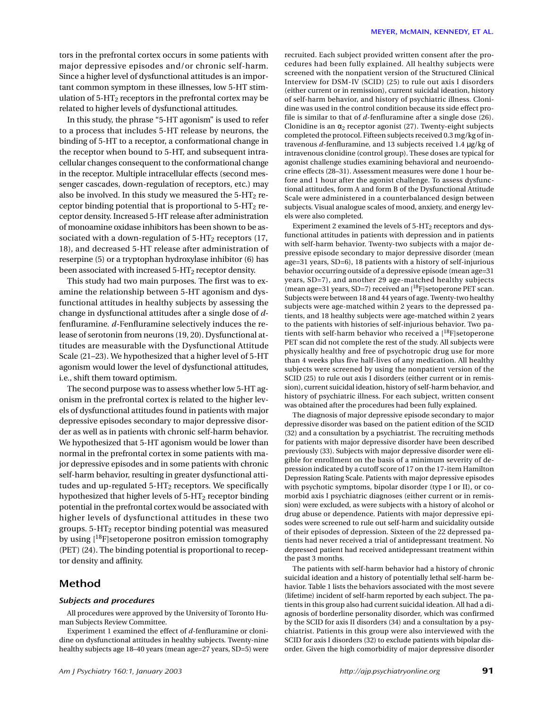tors in the prefrontal cortex occurs in some patients with major depressive episodes and/or chronic self-harm. Since a higher level of dysfunctional attitudes is an important common symptom in these illnesses, low 5-HT stimulation of  $5-HT<sub>2</sub>$  receptors in the prefrontal cortex may be related to higher levels of dysfunctional attitudes.

In this study, the phrase "5-HT agonism" is used to refer to a process that includes 5-HT release by neurons, the binding of 5-HT to a receptor, a conformational change in the receptor when bound to 5-HT, and subsequent intracellular changes consequent to the conformational change in the receptor. Multiple intracellular effects (second messenger cascades, down-regulation of receptors, etc.) may also be involved. In this study we measured the  $5-HT_2$  receptor binding potential that is proportional to  $5-HT_2$  receptor density. Increased 5-HT release after administration of monoamine oxidase inhibitors has been shown to be associated with a down-regulation of  $5-HT_2$  receptors (17, 18), and decreased 5-HT release after administration of reserpine (5) or a tryptophan hydroxylase inhibitor (6) has been associated with increased  $5-HT_2$  receptor density.

This study had two main purposes. The first was to examine the relationship between 5-HT agonism and dysfunctional attitudes in healthy subjects by assessing the change in dysfunctional attitudes after a single dose of *d*fenfluramine. *d*-Fenfluramine selectively induces the release of serotonin from neurons (19, 20). Dysfunctional attitudes are measurable with the Dysfunctional Attitude Scale (21–23). We hypothesized that a higher level of 5-HT agonism would lower the level of dysfunctional attitudes, i.e., shift them toward optimism.

The second purpose was to assess whether low 5-HT agonism in the prefrontal cortex is related to the higher levels of dysfunctional attitudes found in patients with major depressive episodes secondary to major depressive disorder as well as in patients with chronic self-harm behavior. We hypothesized that 5-HT agonism would be lower than normal in the prefrontal cortex in some patients with major depressive episodes and in some patients with chronic self-harm behavior, resulting in greater dysfunctional attitudes and up-regulated  $5-HT_2$  receptors. We specifically hypothesized that higher levels of  $5-HT_2$  receptor binding potential in the prefrontal cortex would be associated with higher levels of dysfunctional attitudes in these two groups. 5-HT2 receptor binding potential was measured by using  $[18F]$  setoperone positron emission tomography (PET) (24). The binding potential is proportional to receptor density and affinity.

## **Method**

### *Subjects and procedures*

All procedures were approved by the University of Toronto Human Subjects Review Committee.

Experiment 1 examined the effect of *d*-fenfluramine or clonidine on dysfunctional attitudes in healthy subjects. Twenty-nine healthy subjects age 18–40 years (mean age=27 years, SD=5) were recruited. Each subject provided written consent after the procedures had been fully explained. All healthy subjects were screened with the nonpatient version of the Structured Clinical Interview for DSM-IV (SCID) (25) to rule out axis I disorders (either current or in remission), current suicidal ideation, history of self-harm behavior, and history of psychiatric illness. Clonidine was used in the control condition because its side effect profile is similar to that of *d*-fenfluramine after a single dose (26). Clonidine is an  $\alpha_2$  receptor agonist (27). Twenty-eight subjects completed the protocol. Fifteen subjects received 0.3 mg/kg of intravenous *d*-fenfluramine, and 13 subjects received 1.4 µg/kg of intravenous clonidine (control group). These doses are typical for agonist challenge studies examining behavioral and neuroendocrine effects (28–31). Assessment measures were done 1 hour before and 1 hour after the agonist challenge. To assess dysfunctional attitudes, form A and form B of the Dysfunctional Attitude Scale were administered in a counterbalanced design between subjects. Visual analogue scales of mood, anxiety, and energy levels were also completed.

Experiment 2 examined the levels of  $5-HT<sub>2</sub>$  receptors and dysfunctional attitudes in patients with depression and in patients with self-harm behavior. Twenty-two subjects with a major depressive episode secondary to major depressive disorder (mean age=31 years, SD=6), 18 patients with a history of self-injurious behavior occurring outside of a depressive episode (mean age=31 years, SD=7), and another 29 age-matched healthy subjects (mean age=31 years, SD=7) received an  $[18F]$ setoperone PET scan. Subjects were between 18 and 44 years of age. Twenty-two healthy subjects were age-matched within 2 years to the depressed patients, and 18 healthy subjects were age-matched within 2 years to the patients with histories of self-injurious behavior. Two patients with self-harm behavior who received a  $[$ <sup>18</sup>F $]$ setoperone PET scan did not complete the rest of the study. All subjects were physically healthy and free of psychotropic drug use for more than 4 weeks plus five half-lives of any medication. All healthy subjects were screened by using the nonpatient version of the SCID (25) to rule out axis I disorders (either current or in remission), current suicidal ideation, history of self-harm behavior, and history of psychiatric illness. For each subject, written consent was obtained after the procedures had been fully explained.

The diagnosis of major depressive episode secondary to major depressive disorder was based on the patient edition of the SCID (32) and a consultation by a psychiatrist. The recruiting methods for patients with major depressive disorder have been described previously (33). Subjects with major depressive disorder were eligible for enrollment on the basis of a minimum severity of depression indicated by a cutoff score of 17 on the 17-item Hamilton Depression Rating Scale. Patients with major depressive episodes with psychotic symptoms, bipolar disorder (type I or II), or comorbid axis I psychiatric diagnoses (either current or in remission) were excluded, as were subjects with a history of alcohol or drug abuse or dependence. Patients with major depressive episodes were screened to rule out self-harm and suicidality outside of their episodes of depression. Sixteen of the 22 depressed patients had never received a trial of antidepressant treatment. No depressed patient had received antidepressant treatment within the past 3 months.

The patients with self-harm behavior had a history of chronic suicidal ideation and a history of potentially lethal self-harm behavior. Table 1 lists the behaviors associated with the most severe (lifetime) incident of self-harm reported by each subject. The patients in this group also had current suicidal ideation. All had a diagnosis of borderline personality disorder, which was confirmed by the SCID for axis II disorders (34) and a consultation by a psychiatrist. Patients in this group were also interviewed with the SCID for axis I disorders (32) to exclude patients with bipolar disorder. Given the high comorbidity of major depressive disorder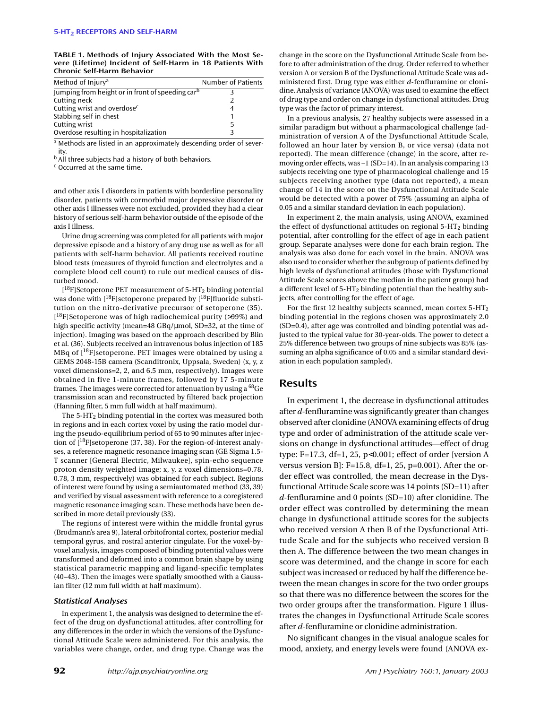**TABLE 1. Methods of Injury Associated With the Most Severe (Lifetime) Incident of Self-Harm in 18 Patients With Chronic Self-Harm Behavior**

| Method of Injury <sup>a</sup>                                | Number of Patients |
|--------------------------------------------------------------|--------------------|
| Jumping from height or in front of speeding car <sup>b</sup> |                    |
| Cutting neck                                                 | Э.                 |
| Cutting wrist and overdose <sup>c</sup>                      |                    |
| Stabbing self in chest                                       |                    |
| Cutting wrist                                                | 5                  |
| Overdose resulting in hospitalization                        |                    |

a Methods are listed in an approximately descending order of severity.

b All three subjects had a history of both behaviors.

<sup>c</sup> Occurred at the same time.

and other axis I disorders in patients with borderline personality disorder, patients with cormorbid major depressive disorder or other axis I illnesses were not excluded, provided they had a clear history of serious self-harm behavior outside of the episode of the axis I illness.

Urine drug screening was completed for all patients with major depressive episode and a history of any drug use as well as for all patients with self-harm behavior. All patients received routine blood tests (measures of thyroid function and electrolytes and a complete blood cell count) to rule out medical causes of disturbed mood.

[<sup>18</sup>F]Setoperone PET measurement of 5-HT<sub>2</sub> binding potential was done with  $[{}^{18}F]$ setoperone prepared by  $[{}^{18}F]$ fluoride substitution on the nitro-derivative precursor of setoperone (35). [<sup>18</sup>F]Setoperone was of high radiochemical purity (>99%) and high specific activity (mean=48 GBq/µmol, SD=32, at the time of injection). Imaging was based on the approach described by Blin et al. (36). Subjects received an intravenous bolus injection of 185 MBq of [18F]setoperone. PET images were obtained by using a GEMS 2048-15B camera (Scanditronix, Uppsala, Sweden) (x, y, z voxel dimensions=2, 2, and 6.5 mm, respectively). Images were obtained in five 1-minute frames, followed by 17 5-minute frames. The images were corrected for attenuation by using a <sup>68</sup>Ge transmission scan and reconstructed by filtered back projection (Hanning filter, 5 mm full width at half maximum).

The  $5-\text{HT}_2$  binding potential in the cortex was measured both in regions and in each cortex voxel by using the ratio model during the pseudo-equilibrium period of 65 to 90 minutes after injection of [18F]setoperone (37, 38). For the region-of-interest analyses, a reference magnetic resonance imaging scan (GE Sigma 1.5- T scanner [General Electric, Milwaukee], spin-echo sequence proton density weighted image; x, y, z voxel dimensions=0.78, 0.78, 3 mm, respectively) was obtained for each subject. Regions of interest were found by using a semiautomated method (33, 39) and verified by visual assessment with reference to a coregistered magnetic resonance imaging scan. These methods have been described in more detail previously (33).

The regions of interest were within the middle frontal gyrus (Brodmann's area 9), lateral orbitofrontal cortex, posterior medial temporal gyrus, and rostral anterior cingulate. For the voxel-byvoxel analysis, images composed of binding potential values were transformed and deformed into a common brain shape by using statistical parametric mapping and ligand-specific templates (40–43). Then the images were spatially smoothed with a Gaussian filter (12 mm full width at half maximum).

#### *Statistical Analyses*

In experiment 1, the analysis was designed to determine the effect of the drug on dysfunctional attitudes, after controlling for any differences in the order in which the versions of the Dysfunctional Attitude Scale were administered. For this analysis, the variables were change, order, and drug type. Change was the change in the score on the Dysfunctional Attitude Scale from before to after administration of the drug. Order referred to whether version A or version B of the Dysfunctional Attitude Scale was administered first. Drug type was either *d*-fenfluramine or clonidine. Analysis of variance (ANOVA) was used to examine the effect of drug type and order on change in dysfunctional attitudes. Drug type was the factor of primary interest.

In a previous analysis, 27 healthy subjects were assessed in a similar paradigm but without a pharmacological challenge (administration of version A of the Dysfunctional Attitude Scale, followed an hour later by version B, or vice versa) (data not reported). The mean difference (change) in the score, after removing order effects, was –1 (SD=14). In an analysis comparing 13 subjects receiving one type of pharmacological challenge and 15 subjects receiving another type (data not reported), a mean change of 14 in the score on the Dysfunctional Attitude Scale would be detected with a power of 75% (assuming an alpha of 0.05 and a similar standard deviation in each population).

In experiment 2, the main analysis, using ANOVA, examined the effect of dysfunctional attitudes on regional  $5-HT_2$  binding potential, after controlling for the effect of age in each patient group. Separate analyses were done for each brain region. The analysis was also done for each voxel in the brain. ANOVA was also used to consider whether the subgroup of patients defined by high levels of dysfunctional attitudes (those with Dysfunctional Attitude Scale scores above the median in the patient group) had a different level of 5-HT2 binding potential than the healthy subjects, after controlling for the effect of age.

For the first 12 healthy subjects scanned, mean cortex 5-HT<sub>2</sub> binding potential in the regions chosen was approximately 2.0 (SD=0.4), after age was controlled and binding potential was adjusted to the typical value for 30-year-olds. The power to detect a 25% difference between two groups of nine subjects was 85% (assuming an alpha significance of 0.05 and a similar standard deviation in each population sampled).

# **Results**

In experiment 1, the decrease in dysfunctional attitudes after *d*-fenfluramine was significantly greater than changes observed after clonidine (ANOVA examining effects of drug type and order of administration of the attitude scale versions on change in dysfunctional attitudes—effect of drug type: F=17.3, df=1, 25, p<0.001; effect of order [version A versus version B. F=15.8, df=1, 25, p=0.001). After the order effect was controlled, the mean decrease in the Dysfunctional Attitude Scale score was 14 points (SD=11) after *d*-fenfluramine and 0 points (SD=10) after clonidine. The order effect was controlled by determining the mean change in dysfunctional attitude scores for the subjects who received version A then B of the Dysfunctional Attitude Scale and for the subjects who received version B then A. The difference between the two mean changes in score was determined, and the change in score for each subject was increased or reduced by half the difference between the mean changes in score for the two order groups so that there was no difference between the scores for the two order groups after the transformation. Figure 1 illustrates the changes in Dysfunctional Attitude Scale scores after *d*-fenfluramine or clonidine administration.

No significant changes in the visual analogue scales for mood, anxiety, and energy levels were found (ANOVA ex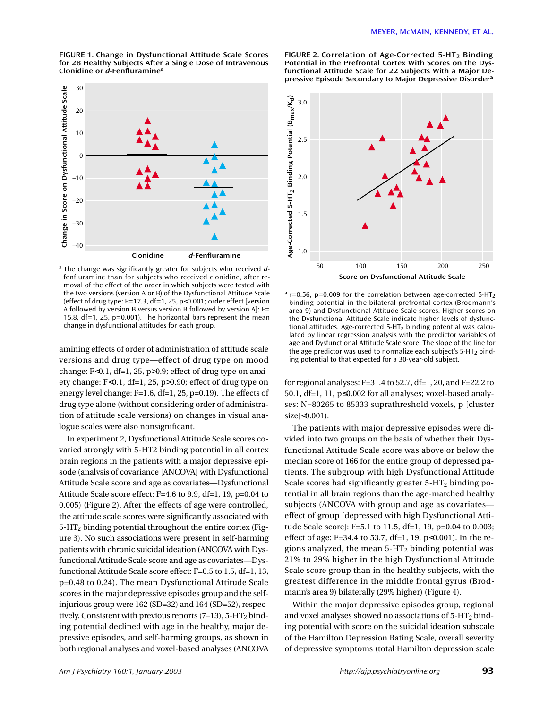**FIGURE 1. Change in Dysfunctional Attitude Scale Scores for 28 Healthy Subjects After a Single Dose of Intravenous Clonidine or** *d***-Fenfluramine<sup>a</sup>**



<sup>a</sup> The change was significantly greater for subjects who received *d*fenfluramine than for subjects who received clonidine, after removal of the effect of the order in which subjects were tested with the two versions (version A or B) of the Dysfunctional Attitude Scale (effect of drug type: F=17.3, df=1, 25, p<0.001; order effect [version A followed by version B versus version B followed by version  $A$ ]: F= 15.8, df=1, 25, p=0.001). The horizontal bars represent the mean

amining effects of order of administration of attitude scale versions and drug type—effect of drug type on mood change:  $F<0.1$ ,  $df=1$ , 25,  $p>0.9$ ; effect of drug type on anxiety change: F<0.1, df=1, 25, p>0.90; effect of drug type on energy level change: F=1.6, df=1, 25, p=0.19). The effects of drug type alone (without considering order of administration of attitude scale versions) on changes in visual analogue scales were also nonsignificant.

In experiment 2, Dysfunctional Attitude Scale scores covaried strongly with 5-HT2 binding potential in all cortex brain regions in the patients with a major depressive episode (analysis of covariance [ANCOVA] with Dysfunctional Attitude Scale score and age as covariates—Dysfunctional Attitude Scale score effect: F=4.6 to 9.9, df=1, 19, p=0.04 to 0.005) (Figure 2). After the effects of age were controlled, the attitude scale scores were significantly associated with 5-HT2 binding potential throughout the entire cortex (Figure 3). No such associations were present in self-harming patients with chronic suicidal ideation (ANCOVA with Dysfunctional Attitude Scale score and age as covariates—Dysfunctional Attitude Scale score effect: F=0.5 to 1.5, df=1, 13, p=0.48 to 0.24). The mean Dysfunctional Attitude Scale scores in the major depressive episodes group and the selfinjurious group were 162 (SD=32) and 164 (SD=52), respectively. Consistent with previous reports  $(7-13)$ , 5-HT<sub>2</sub> binding potential declined with age in the healthy, major depressive episodes, and self-harming groups, as shown in both regional analyses and voxel-based analyses (ANCOVA



**FIGURE 2. Correlation of Age-Corrected 5-HT2 Binding Potential in the Prefrontal Cortex With Scores on the Dysfunctional Attitude Scale for 22 Subjects With a Major De-**

 $a$  r=0.56, p=0.009 for the correlation between age-corrected 5-HT<sub>2</sub> binding potential in the bilateral prefrontal cortex (Brodmann's area 9) and Dysfunctional Attitude Scale scores. Higher scores on the Dysfunctional Attitude Scale indicate higher levels of dysfunctional attitudes. Age-corrected  $5-HT<sub>2</sub>$  binding potential was calculated by linear regression analysis with the predictor variables of age and Dysfunctional Attitude Scale score. The slope of the line for the age predictor was used to normalize each subject's 5-HT<sub>2</sub> bind-<br>ing potential to that expected for a 30-year-old subject.

for regional analyses:  $F=31.4$  to 52.7, df=1, 20, and  $F=22.2$  to 50.1, df=1, 11, p≤0.002 for all analyses; voxel-based analyses: N=80265 to 85333 suprathreshold voxels, p [cluster size]<0.001).

The patients with major depressive episodes were divided into two groups on the basis of whether their Dysfunctional Attitude Scale score was above or below the median score of 166 for the entire group of depressed patients. The subgroup with high Dysfunctional Attitude Scale scores had significantly greater  $5-HT_2$  binding potential in all brain regions than the age-matched healthy subjects (ANCOVA with group and age as covariates effect of group [depressed with high Dysfunctional Attitude Scale score]: F=5.1 to 11.5, df=1, 19, p=0.04 to 0.003; effect of age: F=34.4 to 53.7, df=1, 19,  $p<0.001$ ). In the regions analyzed, the mean  $5-HT_2$  binding potential was 21% to 29% higher in the high Dysfunctional Attitude Scale score group than in the healthy subjects, with the greatest difference in the middle frontal gyrus (Brodmann's area 9) bilaterally (29% higher) (Figure 4).

Within the major depressive episodes group, regional and voxel analyses showed no associations of 5-HT2 binding potential with score on the suicidal ideation subscale of the Hamilton Depression Rating Scale, overall severity of depressive symptoms (total Hamilton depression scale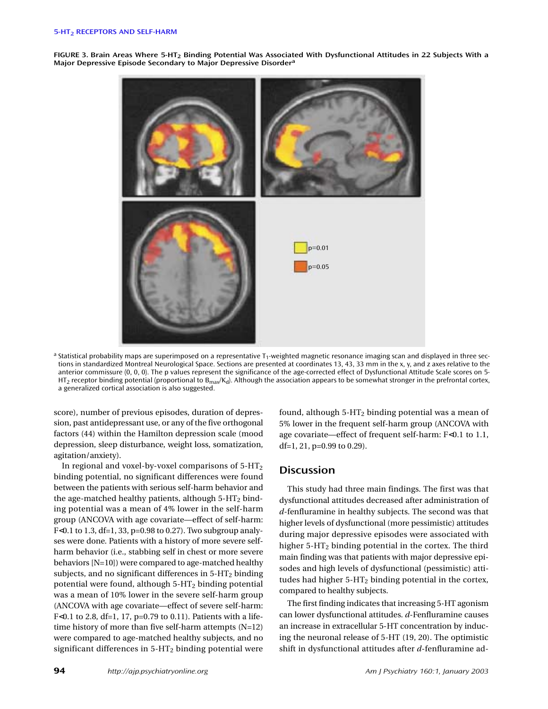**FIGURE 3. Brain Areas Where 5-HT2 Binding Potential Was Associated With Dysfunctional Attitudes in 22 Subjects With a Major Depressive Episode Secondary to Major Depressive Disorder<sup>a</sup>**



a Statistical probability maps are superimposed on a representative T<sub>1</sub>-weighted magnetic resonance imaging scan and displayed in three sections in standardized Montreal Neurological Space. Sections are presented at coordinates 13, 43, 33 mm in the x, y, and z axes relative to the anterior commissure (0, 0, 0). The p values represent the significance of the age-corrected effect of Dysfunctional Attitude Scale scores on 5- HT<sub>2</sub> receptor binding potential (proportional to B<sub>max</sub>/K<sub>d</sub>). Although the association appears to be somewhat stronger in the prefrontal cortex, a generalized cortical association is also suggested.

score), number of previous episodes, duration of depression, past antidepressant use, or any of the five orthogonal factors (44) within the Hamilton depression scale (mood depression, sleep disturbance, weight loss, somatization, agitation/anxiety).

In regional and voxel-by-voxel comparisons of  $5-HT<sub>2</sub>$ binding potential, no significant differences were found between the patients with serious self-harm behavior and the age-matched healthy patients, although  $5-HT_2$  binding potential was a mean of 4% lower in the self-harm group (ANCOVA with age covariate—effect of self-harm: F<0.1 to 1.3, df=1, 33, p=0.98 to 0.27). Two subgroup analyses were done. Patients with a history of more severe selfharm behavior (i.e., stabbing self in chest or more severe behaviors [N=10]) were compared to age-matched healthy subjects, and no significant differences in  $5-HT_2$  binding potential were found, although  $5-HT_2$  binding potential was a mean of 10% lower in the severe self-harm group (ANCOVA with age covariate—effect of severe self-harm: F<0.1 to 2.8, df=1, 17, p=0.79 to 0.11). Patients with a lifetime history of more than five self-harm attempts  $(N=12)$ were compared to age-matched healthy subjects, and no significant differences in  $5-HT_2$  binding potential were

found, although  $5-HT_2$  binding potential was a mean of 5% lower in the frequent self-harm group (ANCOVA with age covariate—effect of frequent self-harm: F<0.1 to 1.1, df=1, 21, p=0.99 to 0.29).

# **Discussion**

This study had three main findings. The first was that dysfunctional attitudes decreased after administration of *d*-fenfluramine in healthy subjects. The second was that higher levels of dysfunctional (more pessimistic) attitudes during major depressive episodes were associated with higher  $5-HT_2$  binding potential in the cortex. The third main finding was that patients with major depressive episodes and high levels of dysfunctional (pessimistic) attitudes had higher  $5-HT_2$  binding potential in the cortex, compared to healthy subjects.

The first finding indicates that increasing 5-HT agonism can lower dysfunctional attitudes. *d*-Fenfluramine causes an increase in extracellular 5-HT concentration by inducing the neuronal release of 5-HT (19, 20). The optimistic shift in dysfunctional attitudes after *d*-fenfluramine ad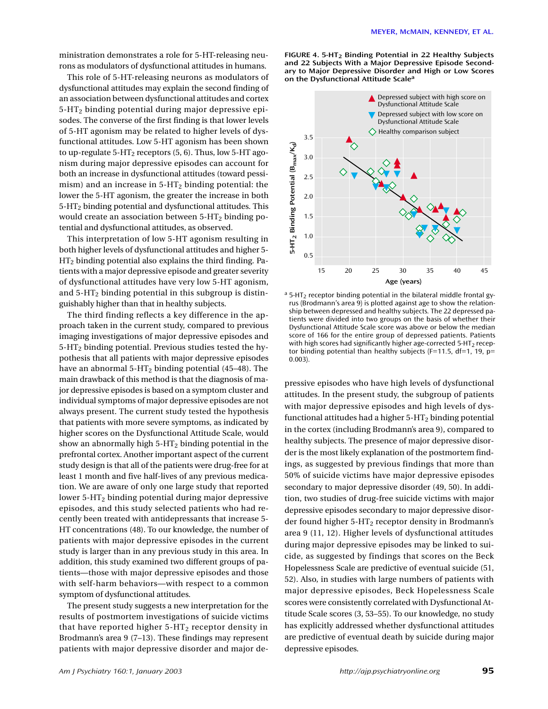ministration demonstrates a role for 5-HT-releasing neurons as modulators of dysfunctional attitudes in humans.

This role of 5-HT-releasing neurons as modulators of dysfunctional attitudes may explain the second finding of an association between dysfunctional attitudes and cortex 5-HT2 binding potential during major depressive episodes. The converse of the first finding is that lower levels of 5-HT agonism may be related to higher levels of dysfunctional attitudes. Low 5-HT agonism has been shown to up-regulate  $5-HT_2$  receptors (5, 6). Thus, low  $5-HT$  agonism during major depressive episodes can account for both an increase in dysfunctional attitudes (toward pessimism) and an increase in  $5-HT_2$  binding potential: the lower the 5-HT agonism, the greater the increase in both 5-HT2 binding potential and dysfunctional attitudes. This would create an association between  $5-HT_2$  binding potential and dysfunctional attitudes, as observed.

This interpretation of low 5-HT agonism resulting in both higher levels of dysfunctional attitudes and higher 5- HT2 binding potential also explains the third finding. Patients with a major depressive episode and greater severity of dysfunctional attitudes have very low 5-HT agonism, and  $5-HT<sub>2</sub>$  binding potential in this subgroup is distinguishably higher than that in healthy subjects.

The third finding reflects a key difference in the approach taken in the current study, compared to previous imaging investigations of major depressive episodes and  $5-HT<sub>2</sub>$  binding potential. Previous studies tested the hypothesis that all patients with major depressive episodes have an abnormal  $5-HT_2$  binding potential (45–48). The main drawback of this method is that the diagnosis of major depressive episodes is based on a symptom cluster and individual symptoms of major depressive episodes are not always present. The current study tested the hypothesis that patients with more severe symptoms, as indicated by higher scores on the Dysfunctional Attitude Scale, would show an abnormally high  $5-HT_2$  binding potential in the prefrontal cortex. Another important aspect of the current study design is that all of the patients were drug-free for at least 1 month and five half-lives of any previous medication. We are aware of only one large study that reported lower 5-HT<sub>2</sub> binding potential during major depressive episodes, and this study selected patients who had recently been treated with antidepressants that increase 5- HT concentrations (48). To our knowledge, the number of patients with major depressive episodes in the current study is larger than in any previous study in this area. In addition, this study examined two different groups of patients—those with major depressive episodes and those with self-harm behaviors—with respect to a common symptom of dysfunctional attitudes.

The present study suggests a new interpretation for the results of postmortem investigations of suicide victims that have reported higher  $5-HT_2$  receptor density in Brodmann's area 9 (7–13). These findings may represent patients with major depressive disorder and major de**FIGURE 4. 5-HT2 Binding Potential in 22 Healthy Subjects and 22 Subjects With a Major Depressive Episode Secondary to Major Depressive Disorder and High or Low Scores on the Dysfunctional Attitude Scalea**



 $a$  5-HT<sub>2</sub> receptor binding potential in the bilateral middle frontal gyrus (Brodmann's area 9) is plotted against age to show the relationship between depressed and healthy subjects. The 22 depressed patients were divided into two groups on the basis of whether their Dysfunctional Attitude Scale score was above or below the median score of 166 for the entire group of depressed patients. Patients with high scores had significantly higher age-corrected 5-HT<sub>2</sub> receptor binding potential than healthy subjects (F=11.5, df=1, 19,  $p=$ 0.003).

pressive episodes who have high levels of dysfunctional attitudes. In the present study, the subgroup of patients with major depressive episodes and high levels of dysfunctional attitudes had a higher  $5-HT_2$  binding potential in the cortex (including Brodmann's area 9), compared to healthy subjects. The presence of major depressive disorder is the most likely explanation of the postmortem findings, as suggested by previous findings that more than 50% of suicide victims have major depressive episodes secondary to major depressive disorder (49, 50). In addition, two studies of drug-free suicide victims with major depressive episodes secondary to major depressive disorder found higher  $5-HT_2$  receptor density in Brodmann's area 9 (11, 12). Higher levels of dysfunctional attitudes during major depressive episodes may be linked to suicide, as suggested by findings that scores on the Beck Hopelessness Scale are predictive of eventual suicide (51, 52). Also, in studies with large numbers of patients with major depressive episodes, Beck Hopelessness Scale scores were consistently correlated with Dysfunctional Attitude Scale scores (3, 53–55). To our knowledge, no study has explicitly addressed whether dysfunctional attitudes are predictive of eventual death by suicide during major depressive episodes.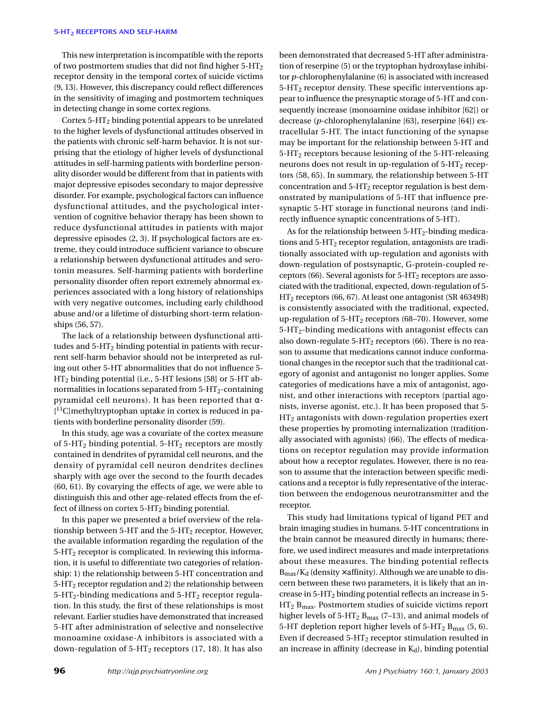#### **5-HT2 RECEPTORS AND SELF-HARM**

This new interpretation is incompatible with the reports of two postmortem studies that did not find higher  $5-HT_2$ receptor density in the temporal cortex of suicide victims (9, 13). However, this discrepancy could reflect differences in the sensitivity of imaging and postmortem techniques in detecting change in some cortex regions.

Cortex  $5-HT<sub>2</sub>$  binding potential appears to be unrelated to the higher levels of dysfunctional attitudes observed in the patients with chronic self-harm behavior. It is not surprising that the etiology of higher levels of dysfunctional attitudes in self-harming patients with borderline personality disorder would be different from that in patients with major depressive episodes secondary to major depressive disorder. For example, psychological factors can influence dysfunctional attitudes, and the psychological intervention of cognitive behavior therapy has been shown to reduce dysfunctional attitudes in patients with major depressive episodes (2, 3). If psychological factors are extreme, they could introduce sufficient variance to obscure a relationship between dysfunctional attitudes and serotonin measures. Self-harming patients with borderline personality disorder often report extremely abnormal experiences associated with a long history of relationships with very negative outcomes, including early childhood abuse and/or a lifetime of disturbing short-term relationships (56, 57).

The lack of a relationship between dysfunctional attitudes and  $5-HT<sub>2</sub>$  binding potential in patients with recurrent self-harm behavior should not be interpreted as ruling out other 5-HT abnormalities that do not influence 5- HT2 binding potential (i.e., 5-HT lesions [58] or 5-HT abnormalities in locations separated from  $5-HT_2$ -containing pyramidal cell neurons). It has been reported that α- [ 11C]methyltryptophan uptake in cortex is reduced in patients with borderline personality disorder (59).

In this study, age was a covariate of the cortex measure of 5-HT<sub>2</sub> binding potential. 5-HT<sub>2</sub> receptors are mostly contained in dendrites of pyramidal cell neurons, and the density of pyramidal cell neuron dendrites declines sharply with age over the second to the fourth decades (60, 61). By covarying the effects of age, we were able to distinguish this and other age-related effects from the effect of illness on cortex  $5-HT_2$  binding potential.

In this paper we presented a brief overview of the relationship between 5-HT and the  $5$ -HT<sub>2</sub> receptor. However, the available information regarding the regulation of the 5-HT2 receptor is complicated. In reviewing this information, it is useful to differentiate two categories of relationship: 1) the relationship between 5-HT concentration and 5-HT2 receptor regulation and 2) the relationship between  $5-HT_2$ -binding medications and  $5-HT_2$  receptor regulation. In this study, the first of these relationships is most relevant. Earlier studies have demonstrated that increased 5-HT after administration of selective and nonselective monoamine oxidase-A inhibitors is associated with a down-regulation of  $5-HT_2$  receptors (17, 18). It has also

been demonstrated that decreased 5-HT after administration of reserpine (5) or the tryptophan hydroxylase inhibitor *p*-chlorophenylalanine (6) is associated with increased  $5-HT<sub>2</sub>$  receptor density. These specific interventions appear to influence the presynaptic storage of 5-HT and consequently increase (monoamine oxidase inhibitor [62]) or decrease (*p*-chlorophenylalanine [63], reserpine [64]) extracellular 5-HT. The intact functioning of the synapse may be important for the relationship between 5-HT and 5-HT2 receptors because lesioning of the 5-HT-releasing neurons does not result in up-regulation of  $5-HT<sub>2</sub>$  receptors (58, 65). In summary, the relationship between 5-HT concentration and  $5-HT_2$  receptor regulation is best demonstrated by manipulations of 5-HT that influence presynaptic 5-HT storage in functional neurons (and indirectly influence synaptic concentrations of 5-HT).

As for the relationship between  $5-HT_2$ -binding medications and 5-HT2 receptor regulation, antagonists are traditionally associated with up-regulation and agonists with down-regulation of postsynaptic, G-protein-coupled receptors (66). Several agonists for  $5-\text{HT}_2$  receptors are associated with the traditional, expected, down-regulation of 5- HT2 receptors (66, 67). At least one antagonist (SR 46349B) is consistently associated with the traditional, expected, up-regulation of 5-HT2 receptors (68–70). However, some 5-HT2-binding medications with antagonist effects can also down-regulate  $5-HT_2$  receptors (66). There is no reason to assume that medications cannot induce conformational changes in the receptor such that the traditional category of agonist and antagonist no longer applies. Some categories of medications have a mix of antagonist, agonist, and other interactions with receptors (partial agonists, inverse agonist, etc.). It has been proposed that 5- HT2 antagonists with down-regulation properties exert these properties by promoting internalization (traditionally associated with agonists) (66). The effects of medications on receptor regulation may provide information about how a receptor regulates. However, there is no reason to assume that the interaction between specific medications and a receptor is fully representative of the interaction between the endogenous neurotransmitter and the receptor.

This study had limitations typical of ligand PET and brain imaging studies in humans. 5-HT concentrations in the brain cannot be measured directly in humans; therefore, we used indirect measures and made interpretations about these measures. The binding potential reflects  $B_{\text{max}}/K_d$  (density  $\times$  affinity). Although we are unable to discern between these two parameters, it is likely that an increase in 5-HT2 binding potential reflects an increase in 5-  $\rm{HT}_2$   $\rm{B}_{\rm{max}}.$  Postmortem studies of suicide victims report higher levels of  $5-HT_2 B_{\text{max}}$  (7–13), and animal models of 5-HT depletion report higher levels of  $5$ -HT<sub>2</sub> B<sub>max</sub> (5, 6). Even if decreased  $5-HT_2$  receptor stimulation resulted in an increase in affinity (decrease in  $K_d$ ), binding potential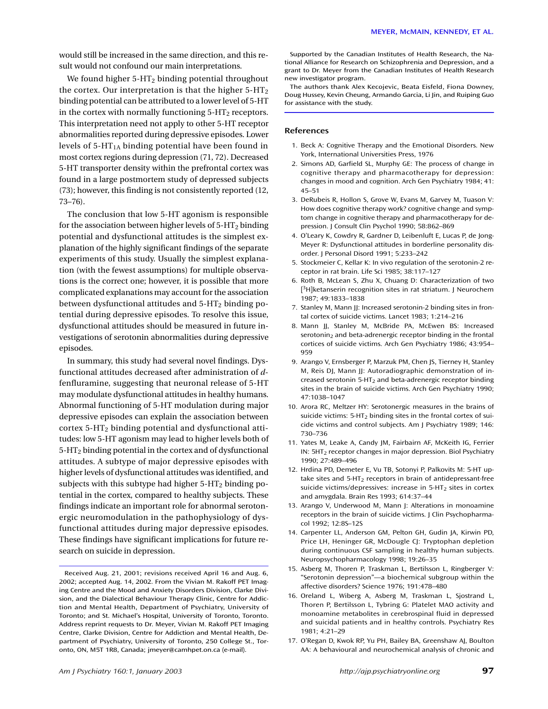We found higher  $5-HT_2$  binding potential throughout the cortex. Our interpretation is that the higher  $5-HT<sub>2</sub>$ binding potential can be attributed to a lower level of 5-HT in the cortex with normally functioning  $5-HT_2$  receptors. This interpretation need not apply to other 5-HT receptor abnormalities reported during depressive episodes. Lower levels of  $5-HT<sub>1A</sub>$  binding potential have been found in most cortex regions during depression (71, 72). Decreased 5-HT transporter density within the prefrontal cortex was found in a large postmortem study of depressed subjects (73); however, this finding is not consistently reported (12, 73–76).

The conclusion that low 5-HT agonism is responsible for the association between higher levels of  $5-HT_2$  binding potential and dysfunctional attitudes is the simplest explanation of the highly significant findings of the separate experiments of this study. Usually the simplest explanation (with the fewest assumptions) for multiple observations is the correct one; however, it is possible that more complicated explanations may account for the association between dysfunctional attitudes and  $5-HT_2$  binding potential during depressive episodes. To resolve this issue, dysfunctional attitudes should be measured in future investigations of serotonin abnormalities during depressive episodes.

In summary, this study had several novel findings. Dysfunctional attitudes decreased after administration of *d*fenfluramine, suggesting that neuronal release of 5-HT may modulate dysfunctional attitudes in healthy humans. Abnormal functioning of 5-HT modulation during major depressive episodes can explain the association between cortex 5-HT2 binding potential and dysfunctional attitudes: low 5-HT agonism may lead to higher levels both of 5-HT2 binding potential in the cortex and of dysfunctional attitudes. A subtype of major depressive episodes with higher levels of dysfunctional attitudes was identified, and subjects with this subtype had higher  $5-HT_2$  binding potential in the cortex, compared to healthy subjects. These findings indicate an important role for abnormal serotonergic neuromodulation in the pathophysiology of dysfunctional attitudes during major depressive episodes. These findings have significant implications for future research on suicide in depression.

Supported by the Canadian Institutes of Health Research, the National Alliance for Research on Schizophrenia and Depression, and a grant to Dr. Meyer from the Canadian Institutes of Health Research new investigator program.

The authors thank Alex Kecojevic, Beata Eisfeld, Fiona Downey, Doug Hussey, Kevin Cheung, Armando Garcia, Li Jin, and Ruiping Guo for assistance with the study.

#### **References**

- 1. Beck A: Cognitive Therapy and the Emotional Disorders. New York, International Universities Press, 1976
- 2. Simons AD, Garfield SL, Murphy GE: The process of change in cognitive therapy and pharmacotherapy for depression: changes in mood and cognition. Arch Gen Psychiatry 1984; 41: 45–51
- 3. DeRubeis R, Hollon S, Grove W, Evans M, Garvey M, Tuason V: How does cognitive therapy work? cognitive change and symptom change in cognitive therapy and pharmacotherapy for depression. J Consult Clin Psychol 1990; 58:862–869
- 4. O'Leary K, Cowdry R, Gardner D, Leibenluft E, Lucas P, de Jong-Meyer R: Dysfunctional attitudes in borderline personality disorder. J Personal Disord 1991; 5:233–242
- 5. Stockmeier C, Kellar K: In vivo regulation of the serotonin-2 receptor in rat brain. Life Sci 1985; 38:117–127
- 6. Roth B, McLean S, Zhu X, Chuang D: Characterization of two [<sup>3</sup>H]ketanserin recognition sites in rat striatum. J Neurochem 1987; 49:1833–1838
- 7. Stanley M, Mann JJ: Increased serotonin-2 binding sites in frontal cortex of suicide victims. Lancet 1983; 1:214–216
- 8. Mann JJ, Stanley M, McBride PA, McEwen BS: Increased  $s$ erotonin<sub>2</sub> and beta-adrenergic receptor binding in the frontal cortices of suicide victims. Arch Gen Psychiatry 1986; 43:954– 959
- 9. Arango V, Ernsberger P, Marzuk PM, Chen JS, Tierney H, Stanley M, Reis DJ, Mann JJ: Autoradiographic demonstration of increased serotonin  $5-HT_2$  and beta-adrenergic receptor binding sites in the brain of suicide victims. Arch Gen Psychiatry 1990; 47:1038–1047
- 10. Arora RC, Meltzer HY: Serotonergic measures in the brains of suicide victims:  $5-HT_2$  binding sites in the frontal cortex of suicide victims and control subjects. Am J Psychiatry 1989; 146: 730–736
- 11. Yates M, Leake A, Candy JM, Fairbairn AF, McKeith IG, Ferrier IN: 5HT2 receptor changes in major depression. Biol Psychiatry 1990; 27:489–496
- 12. Hrdina PD, Demeter E, Vu TB, Sotonyi P, Palkovits M: 5-HT uptake sites and  $5-HT<sub>2</sub>$  receptors in brain of antidepressant-free suicide victims/depressives: increase in  $5-HT<sub>2</sub>$  sites in cortex and amygdala. Brain Res 1993; 614:37–44
- 13. Arango V, Underwood M, Mann J: Alterations in monoamine receptors in the brain of suicide victims. J Clin Psychopharmacol 1992; 12:8S–12S
- 14. Carpenter LL, Anderson GM, Pelton GH, Gudin JA, Kirwin PD, Price LH, Heninger GR, McDougle CJ: Tryptophan depletion during continuous CSF sampling in healthy human subjects. Neuropsychopharmacology 1998; 19:26–35
- 15. Asberg M, Thoren P, Traskman L, Bertilsson L, Ringberger V: "Serotonin depression"—a biochemical subgroup within the affective disorders? Science 1976; 191:478–480
- 16. Oreland L, Wiberg A, Asberg M, Traskman L, Sjostrand L, Thoren P, Bertilsson L, Tybring G: Platelet MAO activity and monoamine metabolites in cerebrospinal fluid in depressed and suicidal patients and in healthy controls. Psychiatry Res 1981; 4:21–29
- 17. O'Regan D, Kwok RP, Yu PH, Bailey BA, Greenshaw AJ, Boulton AA: A behavioural and neurochemical analysis of chronic and

Received Aug. 21, 2001; revisions received April 16 and Aug. 6, 2002; accepted Aug. 14, 2002. From the Vivian M. Rakoff PET Imaging Centre and the Mood and Anxiety Disorders Division, Clarke Division, and the Dialectical Behaviour Therapy Clinic, Centre for Addiction and Mental Health, Department of Psychiatry, University of Toronto; and St. Michael's Hospital, University of Toronto, Toronto. Address reprint requests to Dr. Meyer, Vivian M. Rakoff PET Imaging Centre, Clarke Division, Centre for Addiction and Mental Health, Department of Psychiatry, University of Toronto, 250 College St., Toronto, ON, M5T 1R8, Canada; jmeyer@camhpet.on.ca (e-mail).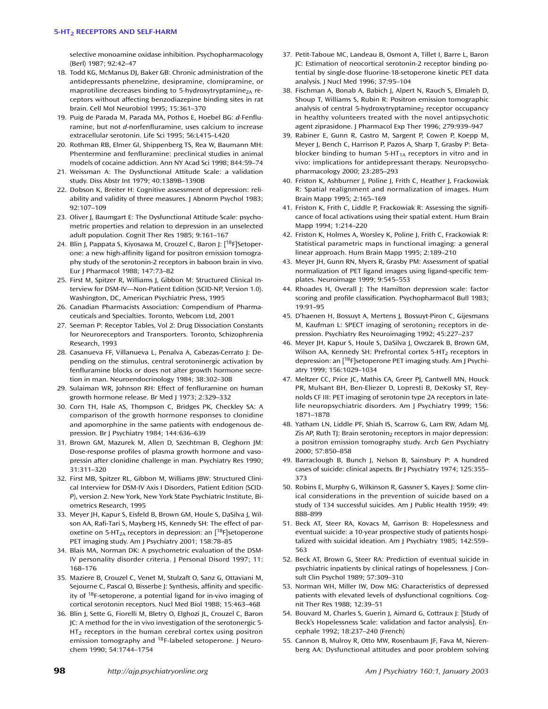selective monoamine oxidase inhibition. Psychopharmacology (Berl) 1987; 92:42–47

- 18. Todd KG, McManus DJ, Baker GB: Chronic administration of the antidepressants phenelzine, desipramine, clomipramine, or maprotiline decreases binding to 5-hydroxytryptamine<sub>2A</sub> receptors without affecting benzodiazepine binding sites in rat brain. Cell Mol Neurobiol 1995; 15:361–370
- 19. Puig de Parada M, Parada MA, Pothos E, Hoebel BG: *d*-Fenfluramine, but not *d*-norfenfluramine, uses calcium to increase extracellular serotonin. Life Sci 1995; 56:L415–L420
- 20. Rothman RB, Elmer GI, Shippenberg TS, Rea W, Baumann MH: Phentermine and fenfluramine: preclinical studies in animal models of cocaine addiction. Ann NY Acad Sci 1998; 844:59–74
- 21. Weissman A: The Dysfunctional Attitude Scale: a validation study. Diss Abstr Int 1979; 40:1389B–1390B
- 22. Dobson K, Breiter H: Cognitive assessment of depression: reliability and validity of three measures. J Abnorm Psychol 1983; 92:107–109
- 23. Oliver J, Baumgart E: The Dysfunctional Attitude Scale: psychometric properties and relation to depression in an unselected adult population. Cognit Ther Res 1985; 9:161–167
- 24. Blin J, Pappata S, Kiyosawa M, Crouzel C, Baron J: [<sup>18</sup>F]Setoperone: a new high-affinity ligand for positron emission tomography study of the serotonin-2 receptors in baboon brain in vivo. Eur J Pharmacol 1988; 147:73–82
- 25. First M, Spitzer R, Williams J, Gibbon M: Structured Clinical Interview for DSM-IV—Non-Patient Edition (SCID-NP, Version 1.0). Washington, DC, American Psychiatric Press, 1995
- 26. Canadian Pharmacists Association: Compendium of Pharmaceuticals and Specialties. Toronto, Webcom Ltd, 2001
- 27. Seeman P: Receptor Tables, Vol 2: Drug Dissociation Constants for Neuroreceptors and Transporters. Toronto, Schizophrenia Research, 1993
- 28. Casanueva FF, Villanueva L, Penalva A, Cabezas-Cerrato J: Depending on the stimulus, central serotoninergic activation by fenfluramine blocks or does not alter growth hormone secretion in man. Neuroendocrinology 1984; 38:302–308
- 29. Sulaiman WR, Johnson RH: Effect of fenfluramine on human growth hormone release. Br Med J 1973; 2:329–332
- 30. Corn TH, Hale AS, Thompson C, Bridges PK, Checkley SA: A comparison of the growth hormone responses to clonidine and apomorphine in the same patients with endogenous depression. Br J Psychiatry 1984; 144:636–639
- 31. Brown GM, Mazurek M, Allen D, Szechtman B, Cleghorn JM: Dose-response profiles of plasma growth hormone and vasopressin after clonidine challenge in man. Psychiatry Res 1990; 31:311–320
- 32. First MB, Spitzer RL, Gibbon M, Williams JBW: Structured Clinical Interview for DSM-IV Axis I Disorders, Patient Edition (SCID-P), version 2. New York, New York State Psychiatric Institute, Biometrics Research, 1995
- 33. Meyer JH, Kapur S, Eisfeld B, Brown GM, Houle S, DaSilva J, Wilson AA, Rafi-Tari S, Mayberg HS, Kennedy SH: The effect of paroxetine on 5-HT<sub>2A</sub> receptors in depression: an  $[^{18}F]$ setoperone PET imaging study. Am J Psychiatry 2001; 158:78–85
- 34. Blais MA, Norman DK: A psychometric evaluation of the DSM-IV personality disorder criteria. J Personal Disord 1997; 11: 168–176
- 35. Maziere B, Crouzel C, Venet M, Stulzaft O, Sanz G, Ottaviani M, Sejourne C, Pascal O, Bisserbe J: Synthesis, affinity and specificity of 18F-setoperone, a potential ligand for in-vivo imaging of cortical serotonin receptors. Nucl Med Biol 1988; 15:463–468
- 36. Blin J, Sette G, Fiorelli M, Bletry O, Elghozi JL, Crouzel C, Baron JC: A method for the in vivo investigation of the serotonergic 5-  $HT<sub>2</sub>$  receptors in the human cerebral cortex using positron emission tomography and <sup>18</sup>F-labeled setoperone. J Neurochem 1990; 54:1744–1754
- 37. Petit-Taboue MC, Landeau B, Osmont A, Tillet I, Barre L, Baron JC: Estimation of neocortical serotonin-2 receptor binding potential by single-dose fluorine-18-setoperone kinetic PET data analysis. J Nucl Med 1996; 37:95–104
- 38. Fischman A, Bonab A, Babich J, Alpert N, Rauch S, Elmaleh D, Shoup T, Williams S, Rubin R: Positron emission tomographic analysis of central 5-hydroxytryptamine $_2$  receptor occupancy in healthy volunteers treated with the novel antipsychotic agent ziprasidone. J Pharmacol Exp Ther 1996; 279:939–947
- 39. Rabiner E, Gunn R, Castro M, Sargent P, Cowen P, Koepp M, Meyer J, Bench C, Harrison P, Pazos A, Sharp T, Grasby P: Betablocker binding to human 5-HT $_{1A}$  receptors in vitro and in vivo: implications for antidepressant therapy. Neuropsychopharmacology 2000; 23:285–293
- 40. Friston K, Ashburner J, Poline J, Frith C, Heather J, Frackowiak R: Spatial realignment and normalization of images. Hum Brain Mapp 1995; 2:165–169
- 41. Friston K, Frith C, Liddle P, Frackowiak R: Assessing the significance of focal activations using their spatial extent. Hum Brain Mapp 1994; 1:214–220
- 42. Friston K, Holmes A, Worsley K, Poline J, Frith C, Frackowiak R: Statistical parametric maps in functional imaging: a general linear approach. Hum Brain Mapp 1995; 2:189–210
- 43. Meyer JH, Gunn RN, Myers R, Grasby PM: Assessment of spatial normalization of PET ligand images using ligand-specific templates. Neuroimage 1999; 9:545–553
- 44. Rhoades H, Overall J: The Hamilton depression scale: factor scoring and profile classification. Psychopharmacol Bull 1983; 19:91–95
- 45. D'haenen H, Bossuyt A, Mertens J, Bossuyt-Piron C, Gijesmans M, Kaufman L: SPECT imaging of serotonin<sub>2</sub> receptors in depression. Psychiatry Res Neuroimaging 1992; 45:227–237
- 46. Meyer JH, Kapur S, Houle S, DaSilva J, Owczarek B, Brown GM, Wilson AA, Kennedy SH: Prefrontal cortex 5-HT<sub>2</sub> receptors in depression: an [18F]setoperone PET imaging study. Am J Psychiatry 1999; 156:1029–1034
- 47. Meltzer CC, Price JC, Mathis CA, Greer PJ, Cantwell MN, Houck PR, Mulsant BH, Ben-Eliezer D, Lopresti B, DeKosky ST, Reynolds CF III: PET imaging of serotonin type 2A receptors in latelife neuropsychiatric disorders. Am J Psychiatry 1999; 156: 1871–1878
- 48. Yatham LN, Liddle PF, Shiah IS, Scarrow G, Lam RW, Adam MJ, Zis AP, Ruth TJ: Brain serotonin<sub>2</sub> receptors in major depression: a positron emission tomography study. Arch Gen Psychiatry 2000; 57:850–858
- 49. Barraclough B, Bunch J, Nelson B, Sainsbury P: A hundred cases of suicide: clinical aspects. Br J Psychiatry 1974; 125:355– 373
- 50. Robins E, Murphy G, Wilkinson R, Gassner S, Kayes J: Some clinical considerations in the prevention of suicide based on a study of 134 successful suicides. Am J Public Health 1959; 49: 888–899
- 51. Beck AT, Steer RA, Kovacs M, Garrison B: Hopelessness and eventual suicide: a 10-year prospective study of patients hospitalized with suicidal ideation. Am J Psychiatry 1985; 142:559– 563
- 52. Beck AT, Brown G, Steer RA: Prediction of eventual suicide in psychiatric inpatients by clinical ratings of hopelessness. J Consult Clin Psychol 1989; 57:309–310
- 53. Norman WH, Miller IW, Dow MG: Characteristics of depressed patients with elevated levels of dysfunctional cognitions. Cognit Ther Res 1988; 12:39–51
- 54. Bouvard M, Charles S, Guerin J, Aimard G, Cottraux J: [Study of Beck's Hopelessness Scale: validation and factor analysis]. Encephale 1992; 18:237–240 (French)
- 55. Cannon B, Mulroy R, Otto MW, Rosenbaum JF, Fava M, Nierenberg AA: Dysfunctional attitudes and poor problem solving

**98** *http://ajp.psychiatryonline.org Am J Psychiatry 160:1, January 2003 Am J Psychiatry 160:1, January 2003*